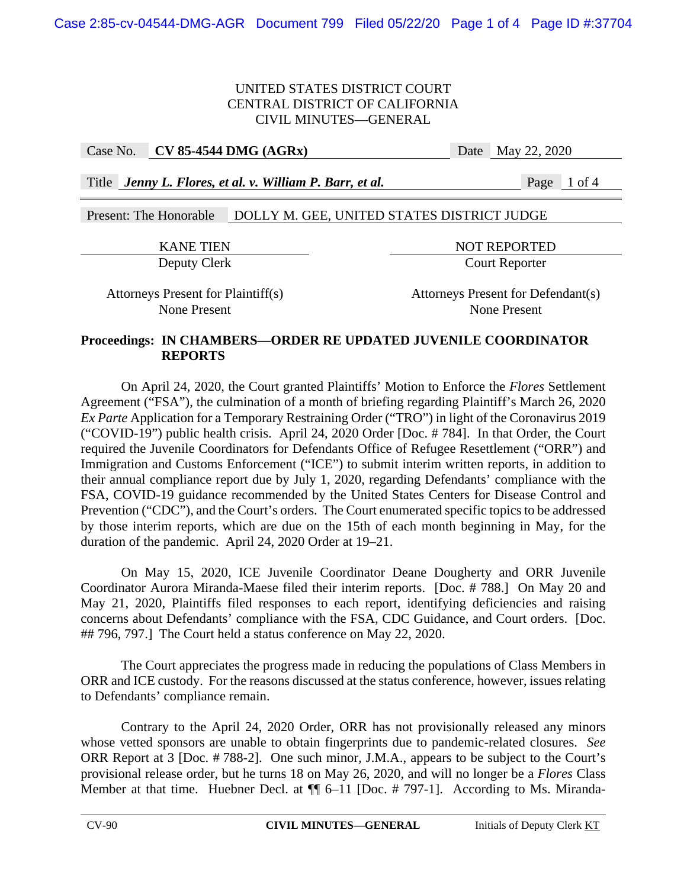**Case No. • CV 85-4544 DMG (AGRx) Date May 22, 2020** 

Title *Jenny L. Flores, et al. v. William P. Barr, et al.* Page 1 of 4

# Present: The Honorable DOLLY M. GEE, UNITED STATES DISTRICT JUDGE

KANE TIEN NOT REPORTED Deputy Clerk Court Reporter

Attorneys Present for Plaintiff(s) Attorneys Present for Defendant(s) None Present None Present

## **Proceedings: IN CHAMBERS—ORDER RE UPDATED JUVENILE COORDINATOR REPORTS**

On April 24, 2020, the Court granted Plaintiffs' Motion to Enforce the *Flores* Settlement Agreement ("FSA"), the culmination of a month of briefing regarding Plaintiff's March 26, 2020 *Ex Parte* Application for a Temporary Restraining Order ("TRO") in light of the Coronavirus 2019 ("COVID-19") public health crisis. April 24, 2020 Order [Doc. # 784]. In that Order, the Court required the Juvenile Coordinators for Defendants Office of Refugee Resettlement ("ORR") and Immigration and Customs Enforcement ("ICE") to submit interim written reports, in addition to their annual compliance report due by July 1, 2020, regarding Defendants' compliance with the FSA, COVID-19 guidance recommended by the United States Centers for Disease Control and Prevention ("CDC"), and the Court's orders. The Court enumerated specific topics to be addressed by those interim reports, which are due on the 15th of each month beginning in May, for the duration of the pandemic. April 24, 2020 Order at 19–21.

On May 15, 2020, ICE Juvenile Coordinator Deane Dougherty and ORR Juvenile Coordinator Aurora Miranda-Maese filed their interim reports. [Doc. # 788.] On May 20 and May 21, 2020, Plaintiffs filed responses to each report, identifying deficiencies and raising concerns about Defendants' compliance with the FSA, CDC Guidance, and Court orders. [Doc. ## 796, 797.] The Court held a status conference on May 22, 2020.

The Court appreciates the progress made in reducing the populations of Class Members in ORR and ICE custody. For the reasons discussed at the status conference, however, issues relating to Defendants' compliance remain.

Contrary to the April 24, 2020 Order, ORR has not provisionally released any minors whose vetted sponsors are unable to obtain fingerprints due to pandemic-related closures. *See*  ORR Report at 3 [Doc. # 788-2]. One such minor, J.M.A., appears to be subject to the Court's provisional release order, but he turns 18 on May 26, 2020, and will no longer be a *Flores* Class Member at that time. Huebner Decl. at  $\P$  6–11 [Doc. # 797-1]. According to Ms. Miranda-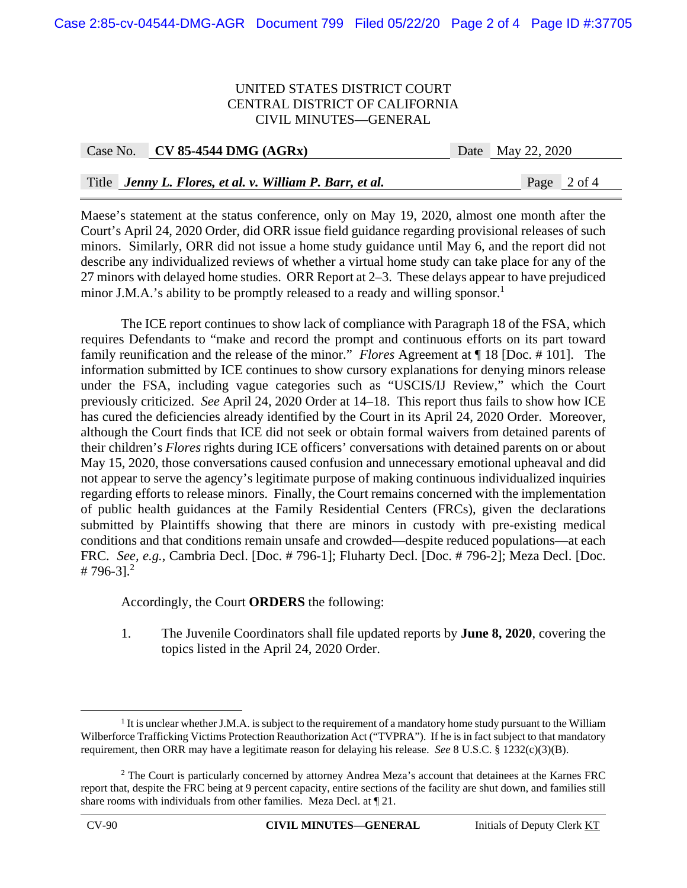| Case No. CV 85-4544 DMG $(AGRx)$                         | Date May 22, 2020   |
|----------------------------------------------------------|---------------------|
|                                                          |                     |
| Title Jenny L. Flores, et al. v. William P. Barr, et al. | Page $\vert 2$ of 4 |

Maese's statement at the status conference, only on May 19, 2020, almost one month after the Court's April 24, 2020 Order, did ORR issue field guidance regarding provisional releases of such minors. Similarly, ORR did not issue a home study guidance until May 6, and the report did not describe any individualized reviews of whether a virtual home study can take place for any of the 27 minors with delayed home studies. ORR Report at 2–3. These delays appear to have prejudiced minor J.M.A.'s ability to be promptly released to a ready and willing sponsor.<sup>1</sup>

 The ICE report continues to show lack of compliance with Paragraph 18 of the FSA, which requires Defendants to "make and record the prompt and continuous efforts on its part toward family reunification and the release of the minor." *Flores* Agreement at ¶ 18 [Doc. # 101]. The information submitted by ICE continues to show cursory explanations for denying minors release under the FSA, including vague categories such as "USCIS/IJ Review," which the Court previously criticized. *See* April 24, 2020 Order at 14–18. This report thus fails to show how ICE has cured the deficiencies already identified by the Court in its April 24, 2020 Order. Moreover, although the Court finds that ICE did not seek or obtain formal waivers from detained parents of their children's *Flores* rights during ICE officers' conversations with detained parents on or about May 15, 2020, those conversations caused confusion and unnecessary emotional upheaval and did not appear to serve the agency's legitimate purpose of making continuous individualized inquiries regarding efforts to release minors. Finally, the Court remains concerned with the implementation of public health guidances at the Family Residential Centers (FRCs), given the declarations submitted by Plaintiffs showing that there are minors in custody with pre-existing medical conditions and that conditions remain unsafe and crowded—despite reduced populations—at each FRC. *See, e.g.*, Cambria Decl. [Doc. # 796-1]; Fluharty Decl. [Doc. # 796-2]; Meza Decl. [Doc. # 796-3].<sup>2</sup>

Accordingly, the Court **ORDERS** the following:

1. The Juvenile Coordinators shall file updated reports by **June 8, 2020**, covering the topics listed in the April 24, 2020 Order.

 $\begin{array}{c|c}\n\hline\n\text{1}\n\end{array}$  $<sup>1</sup>$  It is unclear whether J.M.A. is subject to the requirement of a mandatory home study pursuant to the William</sup> Wilberforce Trafficking Victims Protection Reauthorization Act ("TVPRA"). If he is in fact subject to that mandatory requirement, then ORR may have a legitimate reason for delaying his release. *See* 8 U.S.C. § 1232(c)(3)(B).

<sup>&</sup>lt;sup>2</sup> The Court is particularly concerned by attorney Andrea Meza's account that detainees at the Karnes FRC report that, despite the FRC being at 9 percent capacity, entire sections of the facility are shut down, and families still share rooms with individuals from other families. Meza Decl. at ¶ 21.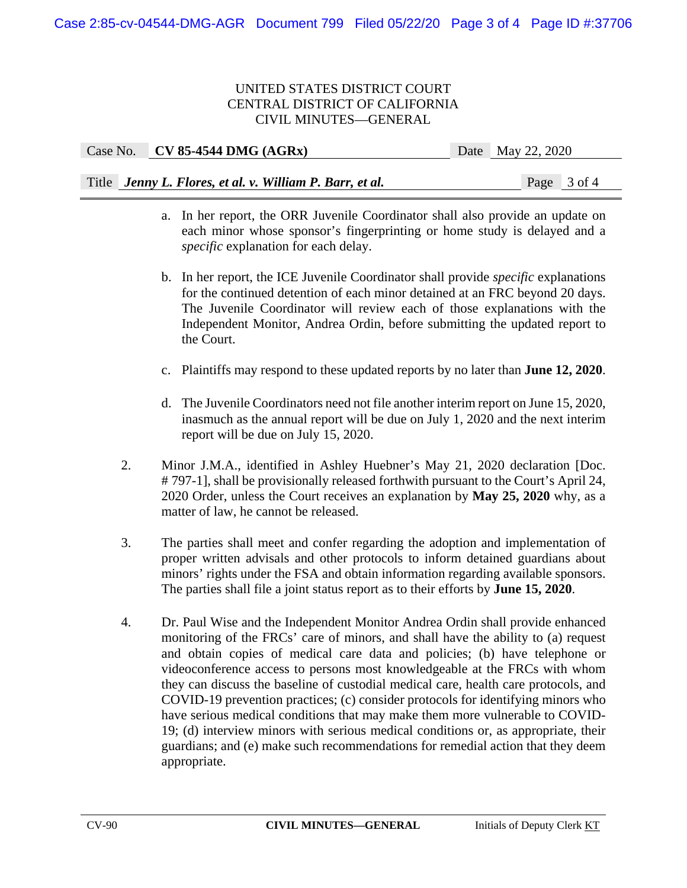| Case No. CV 85-4544 DMG $(AGRx)$                         | Date May 22, 2020 |
|----------------------------------------------------------|-------------------|
|                                                          |                   |
| Title Jenny L. Flores, et al. v. William P. Barr, et al. | Page $3$ of 4     |

- a. In her report, the ORR Juvenile Coordinator shall also provide an update on each minor whose sponsor's fingerprinting or home study is delayed and a *specific* explanation for each delay.
- b. In her report, the ICE Juvenile Coordinator shall provide *specific* explanations for the continued detention of each minor detained at an FRC beyond 20 days. The Juvenile Coordinator will review each of those explanations with the Independent Monitor, Andrea Ordin, before submitting the updated report to the Court.
- c. Plaintiffs may respond to these updated reports by no later than **June 12, 2020**.
- d. The Juvenile Coordinators need not file another interim report on June 15, 2020, inasmuch as the annual report will be due on July 1, 2020 and the next interim report will be due on July 15, 2020.
- 2. Minor J.M.A., identified in Ashley Huebner's May 21, 2020 declaration [Doc. # 797-1], shall be provisionally released forthwith pursuant to the Court's April 24, 2020 Order, unless the Court receives an explanation by **May 25, 2020** why, as a matter of law, he cannot be released.
- 3. The parties shall meet and confer regarding the adoption and implementation of proper written advisals and other protocols to inform detained guardians about minors' rights under the FSA and obtain information regarding available sponsors. The parties shall file a joint status report as to their efforts by **June 15, 2020**.
- 4. Dr. Paul Wise and the Independent Monitor Andrea Ordin shall provide enhanced monitoring of the FRCs' care of minors, and shall have the ability to (a) request and obtain copies of medical care data and policies; (b) have telephone or videoconference access to persons most knowledgeable at the FRCs with whom they can discuss the baseline of custodial medical care, health care protocols, and COVID-19 prevention practices; (c) consider protocols for identifying minors who have serious medical conditions that may make them more vulnerable to COVID-19; (d) interview minors with serious medical conditions or, as appropriate, their guardians; and (e) make such recommendations for remedial action that they deem appropriate.